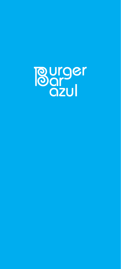